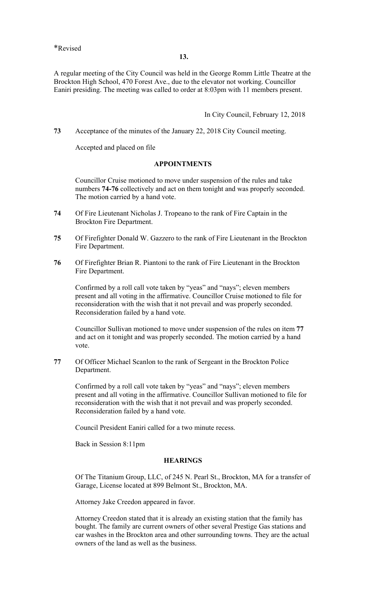A regular meeting of the City Council was held in the George Romm Little Theatre at the Brockton High School, 470 Forest Ave., due to the elevator not working. Councillor Eaniri presiding. The meeting was called to order at 8:03pm with 11 members present.

In City Council, February 12, 2018

**73** Acceptance of the minutes of the January 22, 2018 City Council meeting.

Accepted and placed on file

### **APPOINTMENTS**

Councillor Cruise motioned to move under suspension of the rules and take numbers **74-76** collectively and act on them tonight and was properly seconded. The motion carried by a hand vote.

- **74** Of Fire Lieutenant Nicholas J. Tropeano to the rank of Fire Captain in the Brockton Fire Department.
- **75** Of Firefighter Donald W. Gazzero to the rank of Fire Lieutenant in the Brockton Fire Department.
- **76** Of Firefighter Brian R. Piantoni to the rank of Fire Lieutenant in the Brockton Fire Department.

Confirmed by a roll call vote taken by "yeas" and "nays"; eleven members present and all voting in the affirmative. Councillor Cruise motioned to file for reconsideration with the wish that it not prevail and was properly seconded. Reconsideration failed by a hand vote.

Councillor Sullivan motioned to move under suspension of the rules on item **77**  and act on it tonight and was properly seconded. The motion carried by a hand vote.

**77** Of Officer Michael Scanlon to the rank of Sergeant in the Brockton Police Department.

Confirmed by a roll call vote taken by "yeas" and "nays"; eleven members present and all voting in the affirmative. Councillor Sullivan motioned to file for reconsideration with the wish that it not prevail and was properly seconded. Reconsideration failed by a hand vote.

Council President Eaniri called for a two minute recess.

Back in Session 8:11pm

#### **HEARINGS**

Of The Titanium Group, LLC, of 245 N. Pearl St., Brockton, MA for a transfer of Garage, License located at 899 Belmont St., Brockton, MA.

Attorney Jake Creedon appeared in favor.

Attorney Creedon stated that it is already an existing station that the family has bought. The family are current owners of other several Prestige Gas stations and car washes in the Brockton area and other surrounding towns. They are the actual owners of the land as well as the business.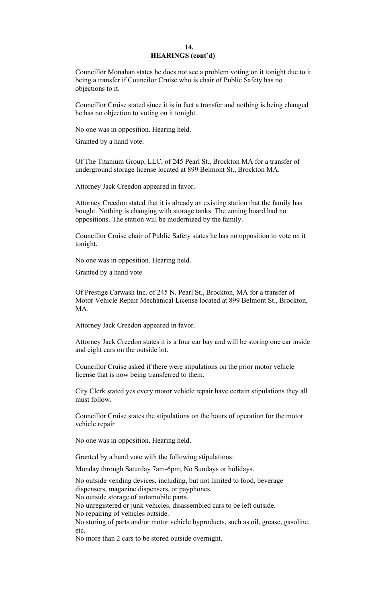#### **14. HEARINGS (cont'd)**

Councillor Monahan states he does not see a problem voting on it tonight due to it being a transfer if Councilor Cruise who is chair of Public Safety has no objections to it.

Councillor Cruise stated since it is in fact a transfer and nothing is being changed he has no objection to voting on it tonight.

No one was in opposition. Hearing held.

Granted by a hand vote.

Of The Titanium Group, LLC, of 245 Pearl St., Brockton MA for a transfer of underground storage license located at 899 Belmont St., Brockton MA.

Attorney Jack Creedon appeared in favor.

Attorney Creedon stated that it is already an existing station that the family has bought. Nothing is changing with storage tanks. The zoning board had no oppositions. The station will be modernized by the family.

Councillor Cruise chair of Public Safety states he has no opposition to vote on it tonight.

No one was in opposition. Hearing held.

Granted by a hand vote

Of Prestige Carwash Inc. of 245 N. Pearl St., Brockton, MA for a transfer of Motor Vehicle Repair Mechanical License located at 899 Belmont St., Brockton, MA.

Attorney Jack Creedon appeared in favor.

Attorney Jack Creedon states it is a four car bay and will be storing one car inside and eight cars on the outside lot.

Councillor Cruise asked if there were stipulations on the prior motor vehicle license that is now being transferred to them.

City Clerk stated yes every motor vehicle repair have certain stipulations they all must follow.

Councillor Cruise states the stipulations on the hours of operation for the motor vehicle repair

No one was in opposition. Hearing held.

Granted by a hand vote with the following stipulations:

Monday through Saturday 7am-6pm; No Sundays or holidays.

No outside vending devices, including, but not limited to food, beverage dispensers, magazine dispensers, or payphones.

No outside storage of automobile parts.

No unregistered or junk vehicles, disassembled cars to be left outside.

No repairing of vehicles outside.

No storing of parts and/or motor vehicle byproducts, such as oil, grease, gasoline, etc.

No more than 2 cars to be stored outside overnight.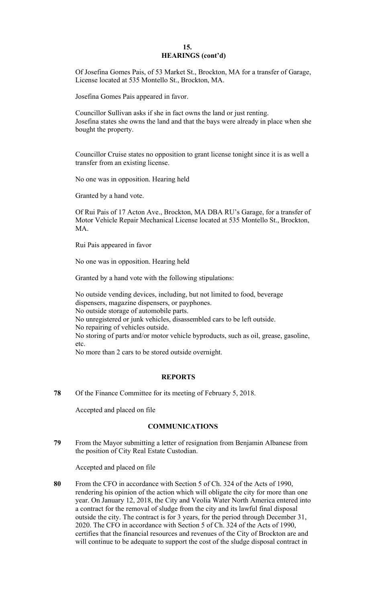# **15. HEARINGS (cont'd)**

Of Josefina Gomes Pais, of 53 Market St., Brockton, MA for a transfer of Garage, License located at 535 Montello St., Brockton, MA.

Josefina Gomes Pais appeared in favor.

Councillor Sullivan asks if she in fact owns the land or just renting. Josefina states she owns the land and that the bays were already in place when she bought the property.

Councillor Cruise states no opposition to grant license tonight since it is as well a transfer from an existing license.

No one was in opposition. Hearing held

Granted by a hand vote.

Of Rui Pais of 17 Acton Ave., Brockton, MA DBA RU's Garage, for a transfer of Motor Vehicle Repair Mechanical License located at 535 Montello St., Brockton, MA.

Rui Pais appeared in favor

No one was in opposition. Hearing held

Granted by a hand vote with the following stipulations:

No outside vending devices, including, but not limited to food, beverage dispensers, magazine dispensers, or payphones. No outside storage of automobile parts. No unregistered or junk vehicles, disassembled cars to be left outside. No repairing of vehicles outside. No storing of parts and/or motor vehicle byproducts, such as oil, grease, gasoline, etc.

No more than 2 cars to be stored outside overnight.

## **REPORTS**

**78** Of the Finance Committee for its meeting of February 5, 2018.

Accepted and placed on file

#### **COMMUNICATIONS**

**79** From the Mayor submitting a letter of resignation from Benjamin Albanese from the position of City Real Estate Custodian.

Accepted and placed on file

**80** From the CFO in accordance with Section 5 of Ch. 324 of the Acts of 1990, rendering his opinion of the action which will obligate the city for more than one year. On January 12, 2018, the City and Veolia Water North America entered into a contract for the removal of sludge from the city and its lawful final disposal outside the city. The contract is for 3 years, for the period through December 31, 2020. The CFO in accordance with Section 5 of Ch. 324 of the Acts of 1990, certifies that the financial resources and revenues of the City of Brockton are and will continue to be adequate to support the cost of the sludge disposal contract in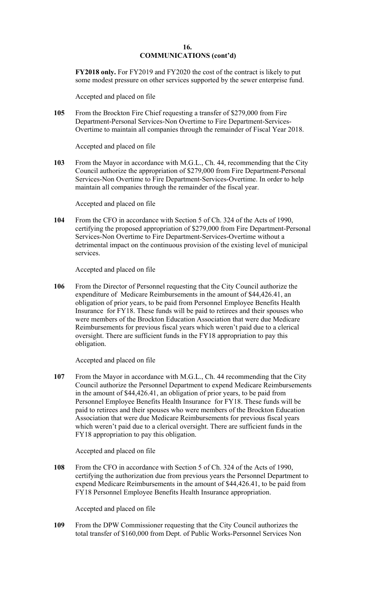**FY2018 only.** For FY2019 and FY2020 the cost of the contract is likely to put some modest pressure on other services supported by the sewer enterprise fund.

Accepted and placed on file

**105** From the Brockton Fire Chief requesting a transfer of \$279,000 from Fire Department-Personal Services-Non Overtime to Fire Department-Services-Overtime to maintain all companies through the remainder of Fiscal Year 2018.

Accepted and placed on file

**103** From the Mayor in accordance with M.G.L., Ch. 44, recommending that the City Council authorize the appropriation of \$279,000 from Fire Department-Personal Services-Non Overtime to Fire Department-Services-Overtime. In order to help maintain all companies through the remainder of the fiscal year.

Accepted and placed on file

**104** From the CFO in accordance with Section 5 of Ch. 324 of the Acts of 1990, certifying the proposed appropriation of \$279,000 from Fire Department-Personal Services-Non Overtime to Fire Department-Services-Overtime without a detrimental impact on the continuous provision of the existing level of municipal services.

Accepted and placed on file

**106** From the Director of Personnel requesting that the City Council authorize the expenditure of Medicare Reimbursements in the amount of \$[44,426.41,](https://44,426.41) an obligation of prior years, to be paid from Personnel Employee Benefits Health Insurance for FY18. These funds will be paid to retirees and their spouses who were members of the Brockton Education Association that were due Medicare Reimbursements for previous fiscal years which weren't paid due to a clerical oversight. There are sufficient funds in the FY18 appropriation to pay this obligation.

Accepted and placed on file

**107** From the Mayor in accordance with M.G.L., Ch. 44 recommending that the City Council authorize the Personnel Department to expend Medicare Reimbursements in the amount of \$[44,426.41,](https://44,426.41) an obligation of prior years, to be paid from Personnel Employee Benefits Health Insurance for FY18. These funds will be paid to retirees and their spouses who were members of the Brockton Education Association that were due Medicare Reimbursements for previous fiscal years which weren't paid due to a clerical oversight. There are sufficient funds in the FY18 appropriation to pay this obligation.

Accepted and placed on file

**108** From the CFO in accordance with Section 5 of Ch. 324 of the Acts of 1990, certifying the authorization due from previous years the Personnel Department to expend Medicare Reimbursements in the amount of \$[44,426.41,](https://44,426.41) to be paid from FY18 Personnel Employee Benefits Health Insurance appropriation.

Accepted and placed on file

**109** From the DPW Commissioner requesting that the City Council authorizes the total transfer of \$160,000 from Dept. of Public Works-Personnel Services Non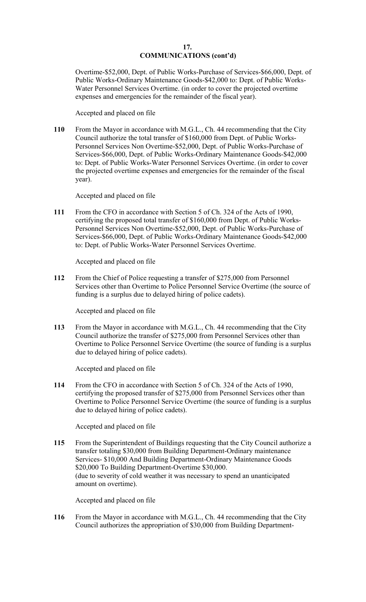Overtime-\$52,000, Dept. of Public Works-Purchase of Services-\$66,000, Dept. of Public Works-Ordinary Maintenance Goods-\$42,000 to: Dept. of Public Works-Water Personnel Services Overtime. (in order to cover the projected overtime expenses and emergencies for the remainder of the fiscal year).

Accepted and placed on file

**110** From the Mayor in accordance with M.G.L., Ch. 44 recommending that the City Council authorize the total transfer of \$160,000 from Dept. of Public Works-Personnel Services Non Overtime-\$52,000, Dept. of Public Works-Purchase of Services-\$66,000, Dept. of Public Works-Ordinary Maintenance Goods-\$42,000 to: Dept. of Public Works-Water Personnel Services Overtime. (in order to cover the projected overtime expenses and emergencies for the remainder of the fiscal year).

Accepted and placed on file

**111** From the CFO in accordance with Section 5 of Ch. 324 of the Acts of 1990, certifying the proposed total transfer of \$160,000 from Dept. of Public Works-Personnel Services Non Overtime-\$52,000, Dept. of Public Works-Purchase of Services-\$66,000, Dept. of Public Works-Ordinary Maintenance Goods-\$42,000 to: Dept. of Public Works-Water Personnel Services Overtime.

Accepted and placed on file

**112** From the Chief of Police requesting a transfer of \$275,000 from Personnel Services other than Overtime to Police Personnel Service Overtime (the source of funding is a surplus due to delayed hiring of police cadets).

Accepted and placed on file

**113** From the Mayor in accordance with M.G.L., Ch. 44 recommending that the City Council authorize the transfer of \$275,000 from Personnel Services other than Overtime to Police Personnel Service Overtime (the source of funding is a surplus due to delayed hiring of police cadets).

Accepted and placed on file

**114** From the CFO in accordance with Section 5 of Ch. 324 of the Acts of 1990, certifying the proposed transfer of \$275,000 from Personnel Services other than Overtime to Police Personnel Service Overtime (the source of funding is a surplus due to delayed hiring of police cadets).

Accepted and placed on file

**115** From the Superintendent of Buildings requesting that the City Council authorize a transfer totaling \$30,000 from Building Department-Ordinary maintenance Services- \$10,000 And Building Department-Ordinary Maintenance Goods \$20,000 To Building Department-Overtime \$30,000. (due to severity of cold weather it was necessary to spend an unanticipated amount on overtime).

Accepted and placed on file

**116** From the Mayor in accordance with M.G.L., Ch. 44 recommending that the City Council authorizes the appropriation of \$30,000 from Building Department-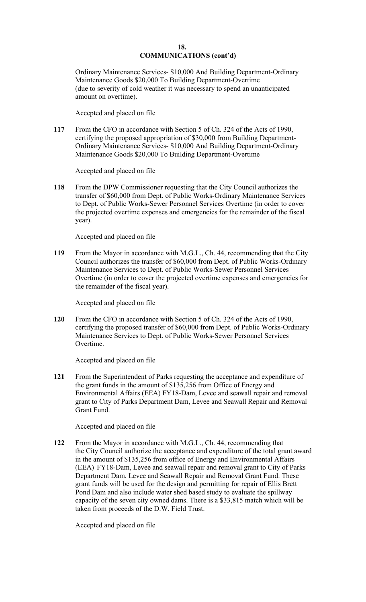Ordinary Maintenance Services- \$10,000 And Building Department-Ordinary Maintenance Goods \$20,000 To Building Department-Overtime (due to severity of cold weather it was necessary to spend an unanticipated amount on overtime).

Accepted and placed on file

**117** From the CFO in accordance with Section 5 of Ch. 324 of the Acts of 1990, certifying the proposed appropriation of \$30,000 from Building Department-Ordinary Maintenance Services- \$10,000 And Building Department-Ordinary Maintenance Goods \$20,000 To Building Department-Overtime

Accepted and placed on file

**118** From the DPW Commissioner requesting that the City Council authorizes the transfer of \$60,000 from Dept. of Public Works-Ordinary Maintenance Services to Dept. of Public Works-Sewer Personnel Services Overtime (in order to cover the projected overtime expenses and emergencies for the remainder of the fiscal year).

Accepted and placed on file

Maintenance Services to Dept. of Public Works-Sewer Personnel Services **119** From the Mayor in accordance with M.G.L., Ch. 44, recommending that the City Council authorizes the transfer of \$60,000 from Dept. of Public Works-Ordinary Overtime (in order to cover the projected overtime expenses and emergencies for the remainder of the fiscal year).

Accepted and placed on file

**120** From the CFO in accordance with Section 5 of Ch. 324 of the Acts of 1990, certifying the proposed transfer of \$60,000 from Dept. of Public Works-Ordinary Maintenance Services to Dept. of Public Works-Sewer Personnel Services Overtime.

Accepted and placed on file

**121** From the Superintendent of Parks requesting the acceptance and expenditure of the grant funds in the amount of \$135,256 from Office of Energy and Environmental Affairs (EEA) FY18-Dam, Levee and seawall repair and removal grant to City of Parks Department Dam, Levee and Seawall Repair and Removal Grant Fund.

Accepted and placed on file

**122** From the Mayor in accordance with M.G.L., Ch. 44, recommending that the City Council authorize the acceptance and expenditure of the total grant award in the amount of \$135,256 from office of Energy and Environmental Affairs (EEA) FY18-Dam, Levee and seawall repair and removal grant to City of Parks Department Dam, Levee and Seawall Repair and Removal Grant Fund. These grant funds will be used for the design and permitting for repair of Ellis Brett Pond Dam and also include water shed based study to evaluate the spillway capacity of the seven city owned dams. There is a \$33,815 match which will be taken from proceeds of the D.W. Field Trust.

Accepted and placed on file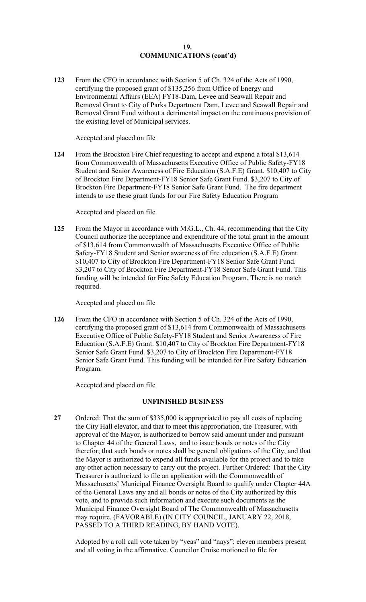**123** From the CFO in accordance with Section 5 of Ch. 324 of the Acts of 1990, certifying the proposed grant of \$135,256 from Office of Energy and Environmental Affairs (EEA) FY18-Dam, Levee and Seawall Repair and Removal Grant to City of Parks Department Dam, Levee and Seawall Repair and Removal Grant Fund without a detrimental impact on the continuous provision of the existing level of Municipal services.

Accepted and placed on file

**124** From the Brockton Fire Chief requesting to accept and expend a total \$13,614 from Commonwealth of Massachusetts Executive Office of Public Safety-FY18 Student and Senior Awareness of Fire Education (S.A.F.E) Grant. \$10,407 to City of Brockton Fire Department-FY18 Senior Safe Grant Fund. \$3,207 to City of Brockton Fire Department-FY18 Senior Safe Grant Fund. The fire department intends to use these grant funds for our Fire Safety Education Program

Accepted and placed on file

**125** From the Mayor in accordance with M.G.L., Ch. 44, recommending that the City Council authorize the acceptance and expenditure of the total grant in the amount of \$13,614 from Commonwealth of Massachusetts Executive Office of Public Safety-FY18 Student and Senior awareness of fire education (S.A.F.E) Grant. \$10,407 to City of Brockton Fire Department-FY18 Senior Safe Grant Fund. \$3,207 to City of Brockton Fire Department-FY18 Senior Safe Grant Fund. This funding will be intended for Fire Safety Education Program. There is no match required.

Accepted and placed on file

**126** From the CFO in accordance with Section 5 of Ch. 324 of the Acts of 1990, certifying the proposed grant of \$13,614 from Commonwealth of Massachusetts Executive Office of Public Safety-FY18 Student and Senior Awareness of Fire Education (S.A.F.E) Grant. \$10,407 to City of Brockton Fire Department-FY18 Senior Safe Grant Fund. \$3,207 to City of Brockton Fire Department-FY18 Senior Safe Grant Fund. This funding will be intended for Fire Safety Education Program.

Accepted and placed on file

## **UNFINISHED BUSINESS**

**27** Ordered: That the sum of \$335,000 is appropriated to pay all costs of replacing the City Hall elevator, and that to meet this appropriation, the Treasurer, with approval of the Mayor, is authorized to borrow said amount under and pursuant to Chapter 44 of the General Laws, and to issue bonds or notes of the City therefor; that such bonds or notes shall be general obligations of the City, and that the Mayor is authorized to expend all funds available for the project and to take any other action necessary to carry out the project. Further Ordered: That the City Treasurer is authorized to file an application with the Commonwealth of Massachusetts' Municipal Finance Oversight Board to qualify under Chapter 44A of the General Laws any and all bonds or notes of the City authorized by this vote, and to provide such information and execute such documents as the Municipal Finance Oversight Board of The Commonwealth of Massachusetts may require. (FAVORABLE) (IN CITY COUNCIL, JANUARY 22, 2018, PASSED TO A THIRD READING, BY HAND VOTE).

Adopted by a roll call vote taken by "yeas" and "nays"; eleven members present and all voting in the affirmative. Councilor Cruise motioned to file for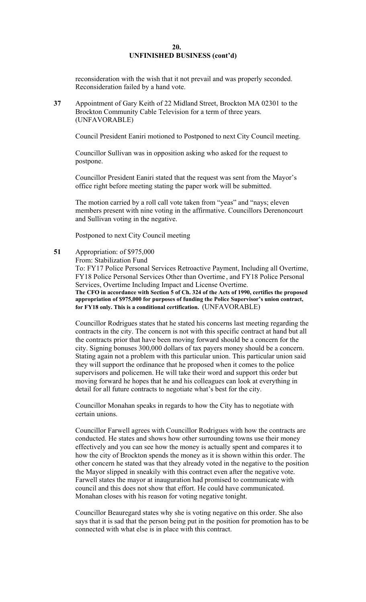#### **20. UNFINISHED BUSINESS (cont'd)**

reconsideration with the wish that it not prevail and was properly seconded. Reconsideration failed by a hand vote.

**37** Appointment of Gary Keith of 22 Midland Street, Brockton MA 02301 to the Brockton Community Cable Television for a term of three years. (UNFAVORABLE)

Council President Eaniri motioned to Postponed to next City Council meeting.

Councillor Sullivan was in opposition asking who asked for the request to postpone.

Councillor President Eaniri stated that the request was sent from the Mayor's office right before meeting stating the paper work will be submitted.

The motion carried by a roll call vote taken from "yeas" and "nays; eleven members present with nine voting in the affirmative. Councillors Derenoncourt and Sullivan voting in the negative.

Postponed to next City Council meeting

**51** Appropriation: of \$975,000

From: Stabilization Fund

To: FY17 Police Personal Services Retroactive Payment, Including all Overtime, FY18 Police Personal Services Other than Overtime, and FY18 Police Personal Services, Overtime Including Impact and License Overtime. **The CFO in accordance with Section 5 of Ch. 324 of the Acts of 1990, certifies the proposed** 

**appropriation of \$975,000 for purposes of funding the Police Supervisor's union contract, for FY18 only. This is a conditional certification.** (UNFAVORABLE)

Councillor Rodrigues states that he stated his concerns last meeting regarding the contracts in the city. The concern is not with this specific contract at hand but all the contracts prior that have been moving forward should be a concern for the city. Signing bonuses 300,000 dollars of tax payers money should be a concern. Stating again not a problem with this particular union. This particular union said they will support the ordinance that he proposed when it comes to the police supervisors and policemen. He will take their word and support this order but moving forward he hopes that he and his colleagues can look at everything in detail for all future contracts to negotiate what's best for the city.

Councillor Monahan speaks in regards to how the City has to negotiate with certain unions.

Councillor Farwell agrees with Councillor Rodrigues with how the contracts are conducted. He states and shows how other surrounding towns use their money effectively and you can see how the money is actually spent and compares it to how the city of Brockton spends the money as it is shown within this order. The other concern he stated was that they already voted in the negative to the position the Mayor slipped in sneakily with this contract even after the negative vote. Farwell states the mayor at inauguration had promised to communicate with council and this does not show that effort. He could have communicated. Monahan closes with his reason for voting negative tonight.

Councillor Beauregard states why she is voting negative on this order. She also says that it is sad that the person being put in the position for promotion has to be connected with what else is in place with this contract.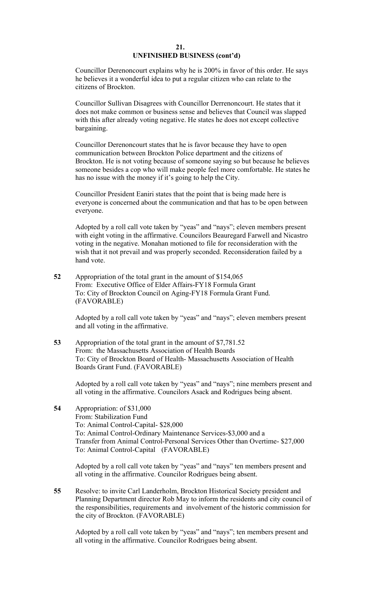### **21. UNFINISHED BUSINESS (cont'd)**

Councillor Derenoncourt explains why he is 200% in favor of this order. He says he believes it a wonderful idea to put a regular citizen who can relate to the citizens of Brockton.

Councillor Sullivan Disagrees with Councillor Derrenoncourt. He states that it does not make common or business sense and believes that Council was slapped with this after already voting negative. He states he does not except collective bargaining.

Councillor Derenoncourt states that he is favor because they have to open communication between Brockton Police department and the citizens of Brockton. He is not voting because of someone saying so but because he believes someone besides a cop who will make people feel more comfortable. He states he has no issue with the money if it's going to help the City.

Councillor President Eaniri states that the point that is being made here is everyone is concerned about the communication and that has to be open between everyone.

Adopted by a roll call vote taken by "yeas" and "nays"; eleven members present with eight voting in the affirmative. Councilors Beauregard Farwell and Nicastro voting in the negative. Monahan motioned to file for reconsideration with the wish that it not prevail and was properly seconded. Reconsideration failed by a hand vote.

**52** Appropriation of the total grant in the amount of \$154,065 From: Executive Office of Elder Affairs-FY18 Formula Grant To: City of Brockton Council on Aging-FY18 Formula Grant Fund. (FAVORABLE)

> Adopted by a roll call vote taken by "yeas" and "nays"; eleven members present and all voting in the affirmative.

**53** Appropriation of the total grant in the amount of \$[7,781.52](https://7,781.52)  From: the Massachusetts Association of Health Boards To: City of Brockton Board of Health- Massachusetts Association of Health Boards Grant Fund. (FAVORABLE)

Adopted by a roll call vote taken by "yeas" and "nays"; nine members present and all voting in the affirmative. Councilors Asack and Rodrigues being absent.

**54** Appropriation: of \$31,000 From: Stabilization Fund To: Animal Control-Capital- \$28,000 To: Animal Control-Ordinary Maintenance Services-\$3,000 and a Transfer from Animal Control-Personal Services Other than Overtime- \$27,000 To: Animal Control-Capital (FAVORABLE)

Adopted by a roll call vote taken by "yeas" and "nays" ten members present and all voting in the affirmative. Councilor Rodrigues being absent.

**55** Resolve: to invite Carl Landerholm, Brockton Historical Society president and Planning Department director Rob May to inform the residents and city council of the responsibilities, requirements and involvement of the historic commission for the city of Brockton. (FAVORABLE)

Adopted by a roll call vote taken by "yeas" and "nays"; ten members present and all voting in the affirmative. Councilor Rodrigues being absent.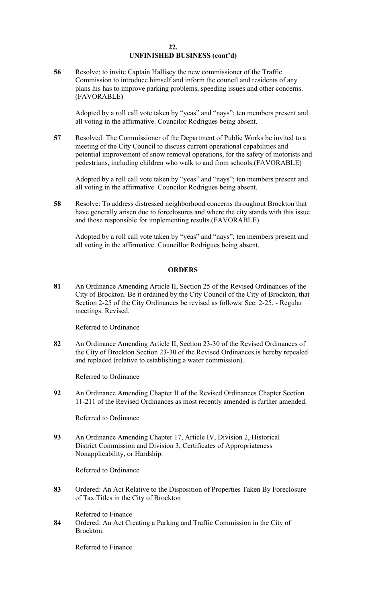#### **22. UNFINISHED BUSINESS (cont'd)**

**56** Resolve: to invite Captain Hallisey the new commissioner of the Traffic Commission to introduce himself and inform the council and residents of any plans his has to improve parking problems, speeding issues and other concerns. (FAVORABLE)

Adopted by a roll call vote taken by "yeas" and "nays"; ten members present and all voting in the affirmative. Councilor Rodrigues being absent.

**57** Resolved: The Commissioner of the Department of Public Works be invited to a meeting of the City Council to discuss current operational capabilities and potential improvement of snow removal operations, for the safety of motorists and pedestrians, including children who walk to and from schools.(FAVORABLE)

Adopted by a roll call vote taken by "yeas" and "nays"; ten members present and all voting in the affirmative. Councilor Rodrigues being absent.

**58** Resolve: To address distressed neighborhood concerns throughout Brockton that have generally arisen due to foreclosures and where the city stands with this issue and those responsible for implementing results.(FAVORABLE)

Adopted by a roll call vote taken by "yeas" and "nays"; ten members present and all voting in the affirmative. Councillor Rodrigues being absent.

## **ORDERS**

**81** An Ordinance Amending Article II, Section 25 of the Revised Ordinances of the City of Brockton. Be it ordained by the City Council of the City of Brockton, that Section 2-25 of the City Ordinances be revised as follows: Sec. 2-25. - Regular meetings. Revised.

Referred to Ordinance

**82** An Ordinance Amending Article II, Section 23-30 of the Revised Ordinances of the City of Brockton Section 23-30 of the Revised Ordinances is hereby repealed and replaced (relative to establishing a water commission).

Referred to Ordinance

**92** An Ordinance Amending Chapter II of the Revised Ordinances Chapter Section 11-211 of the Revised Ordinances as most recently amended is further amended.

Referred to Ordinance

**93** An Ordinance Amending Chapter 17, Article IV, Division 2, Historical District Commission and Division 3, Certificates of Appropriateness Nonapplicability, or Hardship.

Referred to Ordinance

**83** Ordered: An Act Relative to the Disposition of Properties Taken By Foreclosure of Tax Titles in the City of Brockton

Referred to Finance

**84** Ordered: An Act Creating a Parking and Traffic Commission in the City of Brockton.

Referred to Finance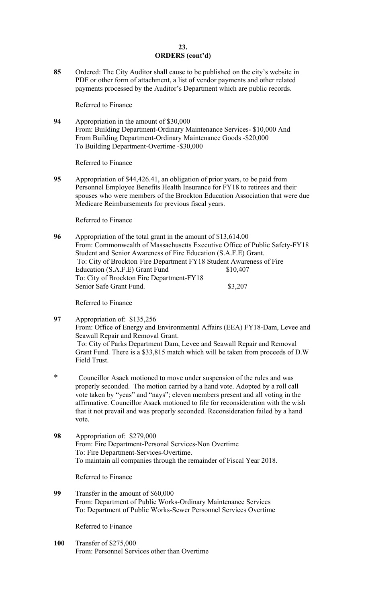### **23. ORDERS (cont'd)**

**85** Ordered: The City Auditor shall cause to be published on the city's website in PDF or other form of attachment, a list of vendor payments and other related payments processed by the Auditor's Department which are public records.

Referred to Finance

**94** Appropriation in the amount of \$30,000 From: Building Department-Ordinary Maintenance Services- \$10,000 And From Building Department-Ordinary Maintenance Goods -\$20,000 To Building Department-Overtime -\$30,000

Referred to Finance

**95** Appropriation of [\\$44,426.41](https://44,426.41), an obligation of prior years, to be paid from Personnel Employee Benefits Health Insurance for FY18 to retirees and their spouses who were members of the Brockton Education Association that were due Medicare Reimbursements for previous fiscal years.

Referred to Finance

**96** Appropriation of the total grant in the amount of \$[13,614.00](https://13,614.00)  From: Commonwealth of Massachusetts Executive Office of Public Safety-FY18 Student and Senior Awareness of Fire Education (S.A.F.E) Grant. To: City of Brockton Fire Department FY18 Student Awareness of Fire Education (S.A.F.E) Grant Fund \$10,407 To: City of Brockton Fire Department-FY18 Senior Safe Grant Fund. \$3,207

Referred to Finance

**97** Appropriation of: \$135,256 From: Office of Energy and Environmental Affairs (EEA) FY18-Dam, Levee and Seawall Repair and Removal Grant. To: City of Parks Department Dam, Levee and Seawall Repair and Removal Grant Fund. There is a \$33,815 match which will be taken from proceeds of D.W Field Trust.

- \* Councillor Asack motioned to move under suspension of the rules and was properly seconded. The motion carried by a hand vote. Adopted by a roll call vote taken by "yeas" and "nays"; eleven members present and all voting in the affirmative. Councillor Asack motioned to file for reconsideration with the wish that it not prevail and was properly seconded. Reconsideration failed by a hand vote.
- From: Fire Department-Personal Services-Non Overtime To: Fire Department-Services-Overtime. **98** Appropriation of: \$279,000 To maintain all companies through the remainder of Fiscal Year 2018.

Referred to Finance

**99** Transfer in the amount of \$60,000 From: Department of Public Works-Ordinary Maintenance Services To: Department of Public Works-Sewer Personnel Services Overtime

Referred to Finance

**100** Transfer of \$275,000 From: Personnel Services other than Overtime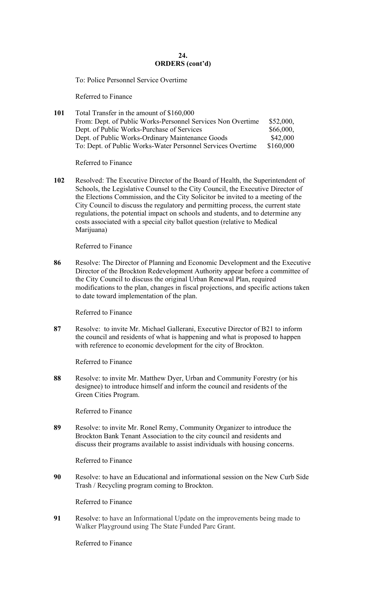## $24.$ **ORDERS (cont'd)**

To: Police Personnel Service Overtime Referred to Finance

| 101 | Total Transfer in the amount of \$160,000                   |           |
|-----|-------------------------------------------------------------|-----------|
|     | From: Dept. of Public Works-Personnel Services Non Overtime | \$52,000, |
|     | Dept. of Public Works-Purchase of Services                  | \$66,000, |
|     | Dept. of Public Works-Ordinary Maintenance Goods            | \$42,000  |
|     | To: Dept. of Public Works-Water Personnel Services Overtime | \$160,000 |

Referred to Finance

**102** Resolved: The Executive Director of the Board of Health, the Superintendent of Schools, the Legislative Counsel to the City Council, the Executive Director of the Elections Commission, and the City Solicitor be invited to a meeting of the City Council to discuss the regulatory and permitting process, the current state regulations, the potential impact on schools and students, and to determine any costs associated with a special city ballot question (relative to Medical Marijuana)

Referred to Finance

**86** Resolve: The Director of Planning and Economic Development and the Executive Director of the Brockton Redevelopment Authority appear before a committee of the City Council to discuss the original Urban Renewal Plan, required modifications to the plan, changes in fiscal projections, and specific actions taken to date toward implementation of the plan.

Referred to Finance

**87** Resolve: to invite Mr. Michael Gallerani, Executive Director of B21 to inform the council and residents of what is happening and what is proposed to happen with reference to economic development for the city of Brockton.

Referred to Finance

**88** Resolve: to invite Mr. Matthew Dyer, Urban and Community Forestry (or his designee) to introduce himself and inform the council and residents of the Green Cities Program.

Referred to Finance

**89** Resolve: to invite Mr. Ronel Remy, Community Organizer to introduce the Brockton Bank Tenant Association to the city council and residents and discuss their programs available to assist individuals with housing concerns.

Referred to Finance

**90** Resolve: to have an Educational and informational session on the New Curb Side Trash / Recycling program coming to Brockton.

Referred to Finance

**91** Resolve: to have an Informational Update on the improvements being made to Walker Playground using The State Funded Parc Grant.

Referred to Finance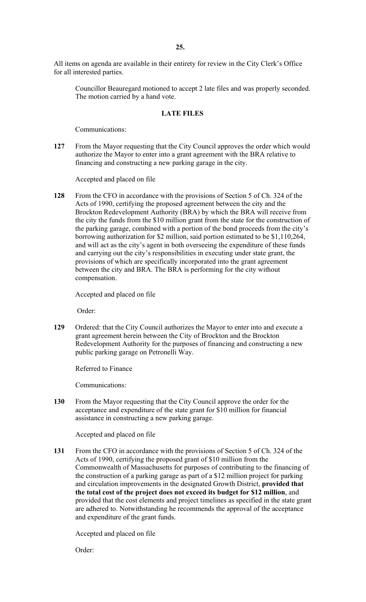All items on agenda are available in their entirety for review in the City Clerk's Office for all interested parties.

Councillor Beauregard motioned to accept 2 late files and was properly seconded. The motion carried by a hand vote.

#### **LATE FILES**

Communications:

**127** From the Mayor requesting that the City Council approves the order which would authorize the Mayor to enter into a grant agreement with the BRA relative to financing and constructing a new parking garage in the city.

Accepted and placed on file

**128** From the CFO in accordance with the provisions of Section 5 of Ch. 324 of the Acts of 1990, certifying the proposed agreement between the city and the Brockton Redevelopment Authority (BRA) by which the BRA will receive from the city the funds from the \$10 million grant from the state for the construction of the parking garage, combined with a portion of the bond proceeds from the city's borrowing authorization for \$2 million, said portion estimated to be \$1,110,264, and will act as the city's agent in both overseeing the expenditure of these funds and carrying out the city's responsibilities in executing under state grant, the provisions of which are specifically incorporated into the grant agreement between the city and BRA. The BRA is performing for the city without compensation.

Accepted and placed on file

Order:

**129** Ordered: that the City Council authorizes the Mayor to enter into and execute a grant agreement herein between the City of Brockton and the Brockton Redevelopment Authority for the purposes of financing and constructing a new public parking garage on Petronelli Way.

Referred to Finance

Communications:

**130** From the Mayor requesting that the City Council approve the order for the acceptance and expenditure of the state grant for \$10 million for financial assistance in constructing a new parking garage.

Accepted and placed on file

**131** From the CFO in accordance with the provisions of Section 5 of Ch. 324 of the Acts of 1990, certifying the proposed grant of \$10 million from the Commonwealth of Massachusetts for purposes of contributing to the financing of the construction of a parking garage as part of a \$12 million project for parking and circulation improvements in the designated Growth District, **provided that the total cost of the project does not exceed its budget for \$12 million**, and provided that the cost elements and project timelines as specified in the state grant are adhered to. Notwithstanding he recommends the approval of the acceptance and expenditure of the grant funds.

Accepted and placed on file

Order: